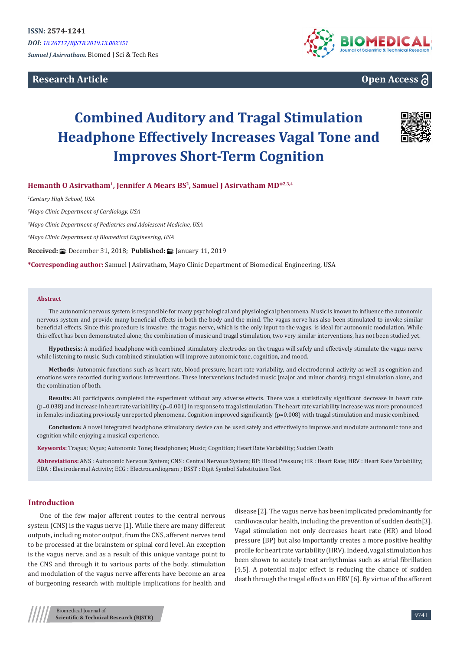**Research Article**





# **Combined Auditory and Tragal Stimulation Headphone Effectively Increases Vagal Tone and Improves Short-Term Cognition**



# **Hemanth O Asirvatham1, Jennifer A Mears BS<sup>2</sup>, Samuel J Asirvatham MD\*2,3,4**

*1 Century High School, USA*

*2 Mayo Clinic Department of Cardiology, USA*

*3 Mayo Clinic Department of Pediatrics and Adolescent Medicine, USA*

*4 Mayo Clinic Department of Biomedical Engineering, USA*

**Received:**  $\blacksquare$ : December 31, 2018; **Published:**  $\blacksquare$ : January 11, 2019

**\*Corresponding author:** Samuel J Asirvatham, Mayo Clinic Department of Biomedical Engineering, USA

#### **Abstract**

The autonomic nervous system is responsible for many psychological and physiological phenomena. Music is known to influence the autonomic nervous system and provide many beneficial effects in both the body and the mind. The vagus nerve has also been stimulated to invoke similar beneficial effects. Since this procedure is invasive, the tragus nerve, which is the only input to the vagus, is ideal for autonomic modulation. While this effect has been demonstrated alone, the combination of music and tragal stimulation, two very similar interventions, has not been studied yet.

**Hypothesis:** A modified headphone with combined stimulatory electrodes on the tragus will safely and effectively stimulate the vagus nerve while listening to music. Such combined stimulation will improve autonomic tone, cognition, and mood.

**Methods:** Autonomic functions such as heart rate, blood pressure, heart rate variability, and electrodermal activity as well as cognition and emotions were recorded during various interventions. These interventions included music (major and minor chords), tragal simulation alone, and the combination of both.

**Results:** All participants completed the experiment without any adverse effects. There was a statistically significant decrease in heart rate (p=0.038) and increase in heart rate variability (p=0.001) in response to tragal stimulation. The heart rate variability increase was more pronounced in females indicating previously unreported phenomena. Cognition improved significantly (p=0.008) with tragal stimulation and music combined.

**Conclusion:** A novel integrated headphone stimulatory device can be used safely and effectively to improve and modulate autonomic tone and cognition while enjoying a musical experience.

**Keywords:** Tragus; Vagus; Autonomic Tone; Headphones; Music; Cognition; Heart Rate Variability; Sudden Death

**Abbreviations:** ANS : Autonomic Nervous System; CNS : Central Nervous System; BP: Blood Pressure; HR : Heart Rate; HRV : Heart Rate Variability; EDA : Electrodermal Activity; ECG : Electrocardiogram ; DSST : Digit Symbol Substitution Test

## **Introduction**

One of the few major afferent routes to the central nervous system (CNS) is the vagus nerve [1]. While there are many different outputs, including motor output, from the CNS, afferent nerves tend to be processed at the brainstem or spinal cord level. An exception is the vagus nerve, and as a result of this unique vantage point to the CNS and through it to various parts of the body, stimulation and modulation of the vagus nerve afferents have become an area of burgeoning research with multiple implications for health and

disease [2]. The vagus nerve has been implicated predominantly for cardiovascular health, including the prevention of sudden death[3]. Vagal stimulation not only decreases heart rate (HR) and blood pressure (BP) but also importantly creates a more positive healthy profile for heart rate variability (HRV). Indeed, vagal stimulation has been shown to acutely treat arrhythmias such as atrial fibrillation [4,5]. A potential major effect is reducing the chance of sudden death through the tragal effects on HRV [6]. By virtue of the afferent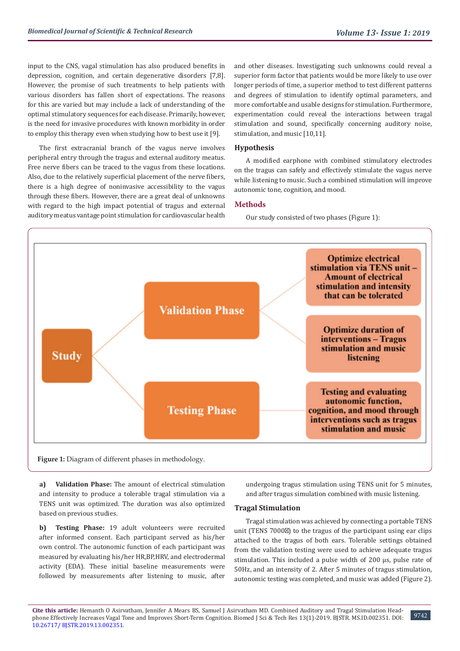input to the CNS, vagal stimulation has also produced benefits in depression, cognition, and certain degenerative disorders [7,8]. However, the promise of such treatments to help patients with various disorders has fallen short of expectations. The reasons for this are varied but may include a lack of understanding of the optimal stimulatory sequences for each disease. Primarily, however, is the need for invasive procedures with known morbidity in order to employ this therapy even when studying how to best use it [9].

The first extracranial branch of the vagus nerve involves peripheral entry through the tragus and external auditory meatus. Free nerve fibers can be traced to the vagus from these locations. Also, due to the relatively superficial placement of the nerve fibers, there is a high degree of noninvasive accessibility to the vagus through these fibers. However, there are a great deal of unknowns with regard to the high impact potential of tragus and external auditory meatus vantage point stimulation for cardiovascular health

and other diseases. Investigating such unknowns could reveal a superior form factor that patients would be more likely to use over longer periods of time, a superior method to test different patterns and degrees of stimulation to identify optimal parameters, and more comfortable and usable designs for stimulation. Furthermore, experimentation could reveal the interactions between tragal stimulation and sound, specifically concerning auditory noise, stimulation, and music [10,11].

# **Hypothesis**

A modified earphone with combined stimulatory electrodes on the tragus can safely and effectively stimulate the vagus nerve while listening to music. Such a combined stimulation will improve autonomic tone, cognition, and mood.

## **Methods**

Our study consisted of two phases (Figure 1):



**Figure 1:** Diagram of different phases in methodology.

**a) Validation Phase:** The amount of electrical stimulation and intensity to produce a tolerable tragal stimulation via a TENS unit was optimized. The duration was also optimized based on previous studies.

**b) Testing Phase:** 19 adult volunteers were recruited after informed consent. Each participant served as his/her own control. The autonomic function of each participant was measured by evaluating his/her HR,BP,HRV, and electrodermal activity (EDA). These initial baseline measurements were followed by measurements after listening to music, after

undergoing tragus stimulation using TENS unit for 5 minutes, and after tragus simulation combined with music listening.

## **Tragal Stimulation**

Tragal stimulation was achieved by connecting a portable TENS unit (TENS 7000 ) to the tragus of the participant using ear clips attached to the tragus of both ears. Tolerable settings obtained from the validation testing were used to achieve adequate tragus stimulation. This included a pulse width of 200 µs, pulse rate of 50Hz, and an intensity of 2. After 5 minutes of tragus stimulation, autonomic testing was completed, and music was added (Figure 2).

**Cite this article:** Hemanth O Asirvatham, Jennifer A Mears BS, Samuel J Asirvatham MD. Combined Auditory and Tragal Stimulation Headphone Effectively Increases Vagal Tone and Improves Short-Term Cognition. Biomed J Sci & Tech Res 13(1)-2019. BJSTR. MS.ID.002351. DOI: [10.26717/ BJSTR.2019.13.0023](http://dx.doi.org/10.26717/BJSTR.2019.13.002351)51.

9742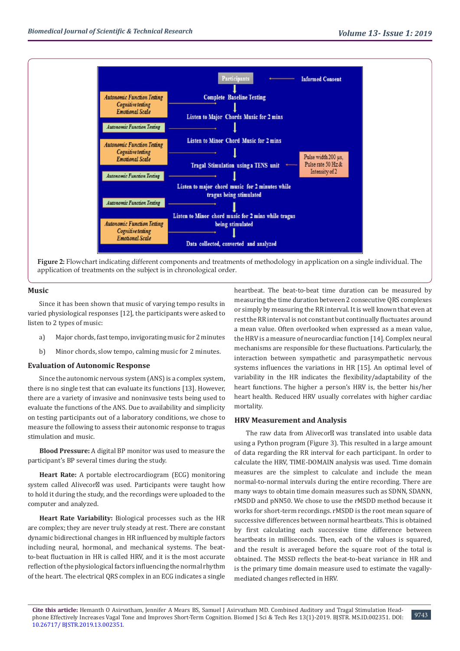

**Figure 2:** Flowchart indicating different components and treatments of methodology in application on a single individual. The application of treatments on the subject is in chronological order.

## **Music**

Since it has been shown that music of varying tempo results in varied physiological responses [12], the participants were asked to listen to 2 types of music:

- a) Major chords, fast tempo, invigorating music for 2 minutes
- b) Minor chords, slow tempo, calming music for 2 minutes.

## **Evaluation of Autonomic Response**

Since the autonomic nervous system (ANS) is a complex system, there is no single test that can evaluate its functions [13]. However, there are a variety of invasive and noninvasive tests being used to evaluate the functions of the ANS. Due to availability and simplicity on testing participants out of a laboratory conditions, we chose to measure the following to assess their autonomic response to tragus stimulation and music.

**Blood Pressure:** A digital BP monitor was used to measure the participant's BP several times during the study.

**Heart Rate:** A portable electrocardiogram (ECG) monitoring system called Alivecor was used. Participants were taught how to hold it during the study, and the recordings were uploaded to the computer and analyzed.

**Heart Rate Variability:** Biological processes such as the HR are complex; they are never truly steady at rest. There are constant dynamic bidirectional changes in HR influenced by multiple factors including neural, hormonal, and mechanical systems. The beatto-beat fluctuation in HR is called HRV, and it is the most accurate reflection of the physiological factors influencing the normal rhythm of the heart. The electrical QRS complex in an ECG indicates a single

heartbeat. The beat-to-beat time duration can be measured by measuring the time duration between 2 consecutive QRS complexes or simply by measuring the RR interval. It is well known that even at rest the RR interval is not constant but continually fluctuates around a mean value. Often overlooked when expressed as a mean value, the HRV is a measure of neurocardiac function [14]. Complex neural mechanisms are responsible for these fluctuations. Particularly, the interaction between sympathetic and parasympathetic nervous systems influences the variations in HR [15]. An optimal level of variability in the HR indicates the flexibility/adaptability of the heart functions. The higher a person's HRV is, the better his/her heart health. Reduced HRV usually correlates with higher cardiac mortality.

## **HRV Measurement and Analysis**

The raw data from Alivecor was translated into usable data using a Python program (Figure 3). This resulted in a large amount of data regarding the RR interval for each participant. In order to calculate the HRV, TIME-DOMAIN analysis was used. Time domain measures are the simplest to calculate and include the mean normal-to-normal intervals during the entire recording. There are many ways to obtain time domain measures such as SDNN, SDANN, rMSDD and pNN50. We chose to use the rMSDD method because it works for short-term recordings. rMSDD is the root mean square of successive differences between normal heartbeats. This is obtained by first calculating each successive time difference between heartbeats in milliseconds. Then, each of the values is squared, and the result is averaged before the square root of the total is obtained. The MSSD reflects the beat-to-beat variance in HR and is the primary time domain measure used to estimate the vagallymediated changes reflected in HRV.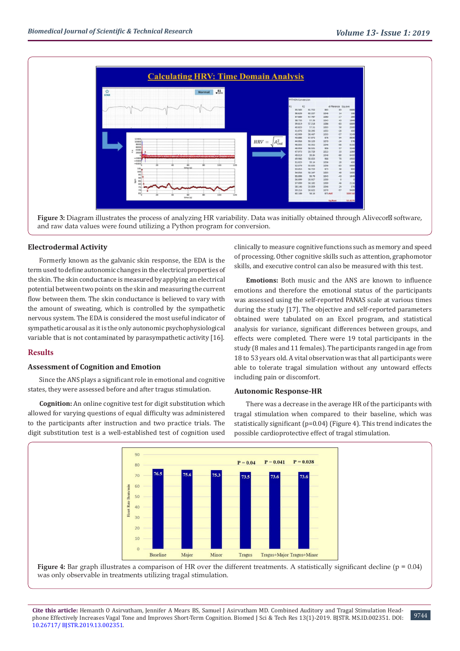

**Figure 3:** Diagram illustrates the process of analyzing HR variability. Data was initially obtained through Alivecor software, and raw data values were found utilizing a Python program for conversion.

## **Electrodermal Activity**

Formerly known as the galvanic skin response, the EDA is the term used to define autonomic changes in the electrical properties of the skin. The skin conductance is measured by applying an electrical potential between two points on the skin and measuring the current flow between them. The skin conductance is believed to vary with the amount of sweating, which is controlled by the sympathetic nervous system. The EDA is considered the most useful indicator of sympathetic arousal as it is the only autonomic psychophysiological variable that is not contaminated by parasympathetic activity [16].

# **Results**

## **Assessment of Cognition and Emotion**

Since the ANS plays a significant role in emotional and cognitive states, they were assessed before and after tragus stimulation.

**Cognition:** An online cognitive test for digit substitution which allowed for varying questions of equal difficulty was administered to the participants after instruction and two practice trials. The digit substitution test is a well-established test of cognition used

clinically to measure cognitive functions such as memory and speed of processing. Other cognitive skills such as attention, graphomotor skills, and executive control can also be measured with this test.

**Emotions:** Both music and the ANS are known to influence emotions and therefore the emotional status of the participants was assessed using the self-reported PANAS scale at various times during the study [17]. The objective and self-reported parameters obtained were tabulated on an Excel program, and statistical analysis for variance, significant differences between groups, and effects were completed. There were 19 total participants in the study (8 males and 11 females). The participants ranged in age from 18 to 53 years old. A vital observation was that all participants were able to tolerate tragal simulation without any untoward effects including pain or discomfort.

#### **Autonomic Response-HR**

There was a decrease in the average HR of the participants with tragal stimulation when compared to their baseline, which was statistically significant (p=0.04) (Figure 4). This trend indicates the possible cardioprotective effect of tragal stimulation.



**Figure 4:** Bar graph illustrates a comparison of HR over the different treatments. A statistically significant decline (p = 0.04) was only observable in treatments utilizing tragal stimulation.

**Cite this article:** Hemanth O Asirvatham, Jennifer A Mears BS, Samuel J Asirvatham MD. Combined Auditory and Tragal Stimulation Headphone Effectively Increases Vagal Tone and Improves Short-Term Cognition. Biomed J Sci & Tech Res 13(1)-2019. BJSTR. MS.ID.002351. DOI: [10.26717/ BJSTR.2019.13.0023](http://dx.doi.org/10.26717/BJSTR.2019.13.002351)51.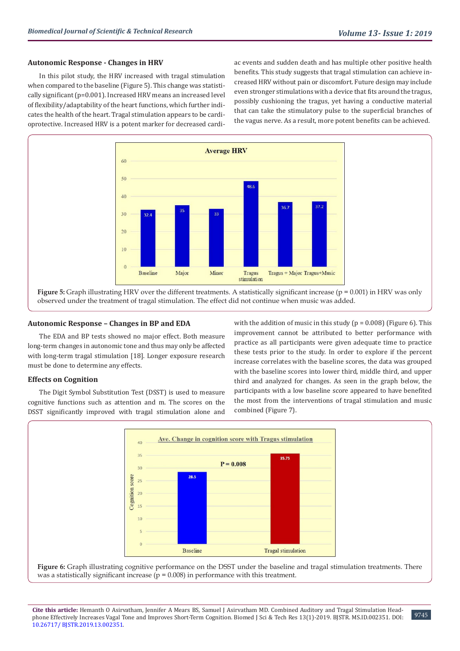## **Autonomic Response - Changes in HRV**

In this pilot study, the HRV increased with tragal stimulation when compared to the baseline (Figure 5). This change was statistically significant (p=0.001). Increased HRV means an increased level of flexibility/adaptability of the heart functions, which further indicates the health of the heart. Tragal stimulation appears to be cardioprotective. Increased HRV is a potent marker for decreased cardiac events and sudden death and has multiple other positive health benefits. This study suggests that tragal stimulation can achieve increased HRV without pain or discomfort. Future design may include even stronger stimulations with a device that fits around the tragus, possibly cushioning the tragus, yet having a conductive material that can take the stimulatory pulse to the superficial branches of the vagus nerve. As a result, more potent benefits can be achieved.



observed under the treatment of tragal stimulation. The effect did not continue when music was added.

## **Autonomic Response – Changes in BP and EDA**

The EDA and BP tests showed no major effect. Both measure long-term changes in autonomic tone and thus may only be affected with long-term tragal stimulation [18]. Longer exposure research must be done to determine any effects.

## **Effects on Cognition**

The Digit Symbol Substitution Test (DSST) is used to measure cognitive functions such as attention and m. The scores on the DSST significantly improved with tragal stimulation alone and with the addition of music in this study ( $p = 0.008$ ) (Figure 6). This improvement cannot be attributed to better performance with practice as all participants were given adequate time to practice these tests prior to the study. In order to explore if the percent increase correlates with the baseline scores, the data was grouped with the baseline scores into lower third, middle third, and upper third and analyzed for changes. As seen in the graph below, the participants with a low baseline score appeared to have benefited the most from the interventions of tragal stimulation and music combined (Figure 7).



**Figure 6:** Graph illustrating cognitive performance on the DSST under the baseline and tragal stimulation treatments. There was a statistically significant increase ( $p = 0.008$ ) in performance with this treatment.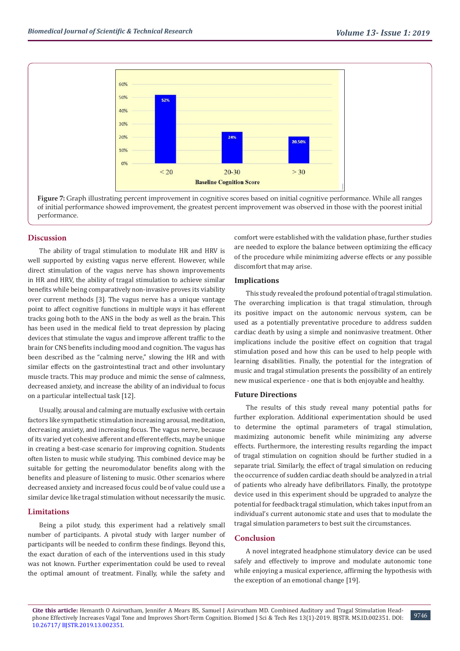

**Figure 7:** Graph illustrating percent improvement in cognitive scores based on initial cognitive performance. While all ranges of initial performance showed improvement, the greatest percent improvement was observed in those with the poorest initial performance.

## **Discussion**

The ability of tragal stimulation to modulate HR and HRV is well supported by existing vagus nerve efferent. However, while direct stimulation of the vagus nerve has shown improvements in HR and HRV, the ability of tragal stimulation to achieve similar benefits while being comparatively non-invasive proves its viability over current methods [3]. The vagus nerve has a unique vantage point to affect cognitive functions in multiple ways it has efferent tracks going both to the ANS in the body as well as the brain. This has been used in the medical field to treat depression by placing devices that stimulate the vagus and improve afferent traffic to the brain for CNS benefits including mood and cognition. The vagus has been described as the "calming nerve," slowing the HR and with similar effects on the gastrointestinal tract and other involuntary muscle tracts. This may produce and mimic the sense of calmness, decreased anxiety, and increase the ability of an individual to focus on a particular intellectual task [12].

Usually, arousal and calming are mutually exclusive with certain factors like sympathetic stimulation increasing arousal, meditation, decreasing anxiety, and increasing focus. The vagus nerve, because of its varied yet cohesive afferent and efferent effects, may be unique in creating a best-case scenario for improving cognition. Students often listen to music while studying. This combined device may be suitable for getting the neuromodulator benefits along with the benefits and pleasure of listening to music. Other scenarios where decreased anxiety and increased focus could be of value could use a similar device like tragal stimulation without necessarily the music.

## **Limitations**

Being a pilot study, this experiment had a relatively small number of participants. A pivotal study with larger number of participants will be needed to confirm these findings. Beyond this, the exact duration of each of the interventions used in this study was not known. Further experimentation could be used to reveal the optimal amount of treatment. Finally, while the safety and

comfort were established with the validation phase, further studies are needed to explore the balance between optimizing the efficacy of the procedure while minimizing adverse effects or any possible discomfort that may arise.

## **Implications**

This study revealed the profound potential of tragal stimulation. The overarching implication is that tragal stimulation, through its positive impact on the autonomic nervous system, can be used as a potentially preventative procedure to address sudden cardiac death by using a simple and noninvasive treatment. Other implications include the positive effect on cognition that tragal stimulation posed and how this can be used to help people with learning disabilities. Finally, the potential for the integration of music and tragal stimulation presents the possibility of an entirely new musical experience - one that is both enjoyable and healthy.

## **Future Directions**

The results of this study reveal many potential paths for further exploration. Additional experimentation should be used to determine the optimal parameters of tragal stimulation, maximizing autonomic benefit while minimizing any adverse effects. Furthermore, the interesting results regarding the impact of tragal stimulation on cognition should be further studied in a separate trial. Similarly, the effect of tragal simulation on reducing the occurrence of sudden cardiac death should be analyzed in a trial of patients who already have defibrillators. Finally, the prototype device used in this experiment should be upgraded to analyze the potential for feedback tragal stimulation, which takes input from an individual's current autonomic state and uses that to modulate the tragal simulation parameters to best suit the circumstances.

## **Conclusion**

A novel integrated headphone stimulatory device can be used safely and effectively to improve and modulate autonomic tone while enjoying a musical experience, affirming the hypothesis with the exception of an emotional change [19].

9746